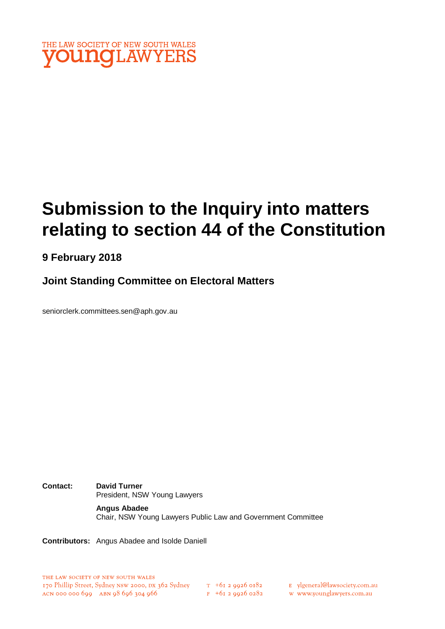

# **Submission to the Inquiry into matters relating to section 44 of the Constitution**

# **9 February 2018**

# **Joint Standing Committee on Electoral Matters**

seniorclerk.committees.sen@aph.gov.au

**Contact: David Turner** President, NSW Young Lawyers

#### **Angus Abadee**

Chair, NSW Young Lawyers Public Law and Government Committee

**Contributors:** Angus Abadee and Isolde Daniell

 $F$  +61 2 9926 0282

E ylgeneral@lawsociety.com.au

w www.younglawyers.com.au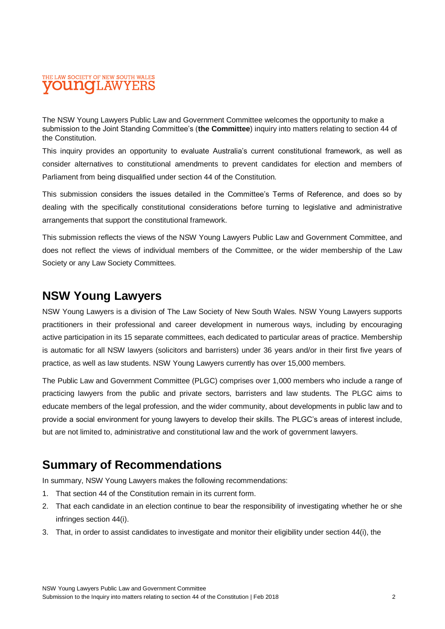### THE LAW SOCIETY OF NEW SOUTH WALES **OUNOLAW**

The NSW Young Lawyers Public Law and Government Committee welcomes the opportunity to make a submission to the Joint Standing Committee's (**the Committee**) inquiry into matters relating to section 44 of the Constitution.

This inquiry provides an opportunity to evaluate Australia's current constitutional framework, as well as consider alternatives to constitutional amendments to prevent candidates for election and members of Parliament from being disqualified under section 44 of the Constitution.

This submission considers the issues detailed in the Committee's Terms of Reference, and does so by dealing with the specifically constitutional considerations before turning to legislative and administrative arrangements that support the constitutional framework.

This submission reflects the views of the NSW Young Lawyers Public Law and Government Committee, and does not reflect the views of individual members of the Committee, or the wider membership of the Law Society or any Law Society Committees.

# **NSW Young Lawyers**

NSW Young Lawyers is a division of The Law Society of New South Wales. NSW Young Lawyers supports practitioners in their professional and career development in numerous ways, including by encouraging active participation in its 15 separate committees, each dedicated to particular areas of practice. Membership is automatic for all NSW lawyers (solicitors and barristers) under 36 years and/or in their first five years of practice, as well as law students. NSW Young Lawyers currently has over 15,000 members.

The Public Law and Government Committee (PLGC) comprises over 1,000 members who include a range of practicing lawyers from the public and private sectors, barristers and law students. The PLGC aims to educate members of the legal profession, and the wider community, about developments in public law and to provide a social environment for young lawyers to develop their skills. The PLGC's areas of interest include, but are not limited to, administrative and constitutional law and the work of government lawyers.

# **Summary of Recommendations**

In summary, NSW Young Lawyers makes the following recommendations:

- 1. That section 44 of the Constitution remain in its current form.
- 2. That each candidate in an election continue to bear the responsibility of investigating whether he or she infringes section 44(i).
- 3. That, in order to assist candidates to investigate and monitor their eligibility under section 44(i), the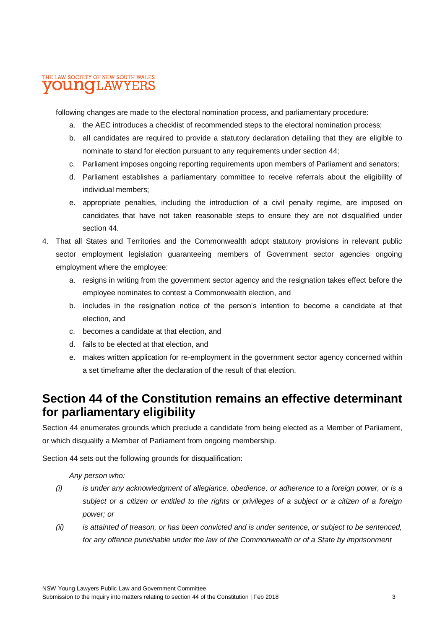### THE LAW SOCIETY OF NEW SOUTH WALES **DUINOILAWYEF**

following changes are made to the electoral nomination process, and parliamentary procedure:

- a. the AEC introduces a checklist of recommended steps to the electoral nomination process;
- b. all candidates are required to provide a statutory declaration detailing that they are eligible to nominate to stand for election pursuant to any requirements under section 44;
- c. Parliament imposes ongoing reporting requirements upon members of Parliament and senators;
- d. Parliament establishes a parliamentary committee to receive referrals about the eligibility of individual members;
- e. appropriate penalties, including the introduction of a civil penalty regime, are imposed on candidates that have not taken reasonable steps to ensure they are not disqualified under section 44.
- 4. That all States and Territories and the Commonwealth adopt statutory provisions in relevant public sector employment legislation guaranteeing members of Government sector agencies ongoing employment where the employee:
	- a. resigns in writing from the government sector agency and the resignation takes effect before the employee nominates to contest a Commonwealth election, and
	- b. includes in the resignation notice of the person's intention to become a candidate at that election, and
	- c. becomes a candidate at that election, and
	- d. fails to be elected at that election, and
	- e. makes written application for re-employment in the government sector agency concerned within a set timeframe after the declaration of the result of that election.

# **Section 44 of the Constitution remains an effective determinant for parliamentary eligibility**

Section 44 enumerates grounds which preclude a candidate from being elected as a Member of Parliament, or which disqualify a Member of Parliament from ongoing membership.

Section 44 sets out the following grounds for disqualification:

*Any person who:*

- *(i) is under any acknowledgment of allegiance, obedience, or adherence to a foreign power, or is a subject or a citizen or entitled to the rights or privileges of a subject or a citizen of a foreign power; or*
- *(ii) is attainted of treason, or has been convicted and is under sentence, or subject to be sentenced,*  for any offence punishable under the law of the Commonwealth or of a State by imprisonment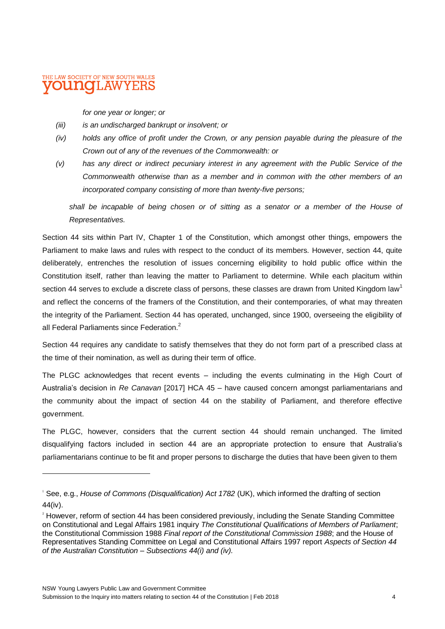### THE LAW SOCIETY OF NEW SOUTH WALES LAW

 $\overline{a}$ 

*for one year or longer; or*

- *(iii) is an undischarged bankrupt or insolvent; or*
- *(iv) holds any office of profit under the Crown, or any pension payable during the pleasure of the Crown out of any of the revenues of the Commonwealth: or*
- *(v) has any direct or indirect pecuniary interest in any agreement with the Public Service of the Commonwealth otherwise than as a member and in common with the other members of an incorporated company consisting of more than twenty-five persons;*

*shall be incapable of being chosen or of sitting as a senator or a member of the House of Representatives.*

Section 44 sits within Part IV, Chapter 1 of the Constitution, which amongst other things, empowers the Parliament to make laws and rules with respect to the conduct of its members. However, section 44, quite deliberately, entrenches the resolution of issues concerning eligibility to hold public office within the Constitution itself, rather than leaving the matter to Parliament to determine. While each placitum within section 44 serves to exclude a discrete class of persons, these classes are drawn from United Kingdom law<sup>1</sup> and reflect the concerns of the framers of the Constitution, and their contemporaries, of what may threaten the integrity of the Parliament. Section 44 has operated, unchanged, since 1900, overseeing the eligibility of all Federal Parliaments since Federation.<sup>2</sup>

Section 44 requires any candidate to satisfy themselves that they do not form part of a prescribed class at the time of their nomination, as well as during their term of office.

The PLGC acknowledges that recent events – including the events culminating in the High Court of Australia's decision in *Re Canavan* [2017] HCA 45 – have caused concern amongst parliamentarians and the community about the impact of section 44 on the stability of Parliament, and therefore effective government.

The PLGC, however, considers that the current section 44 should remain unchanged. The limited disqualifying factors included in section 44 are an appropriate protection to ensure that Australia's parliamentarians continue to be fit and proper persons to discharge the duties that have been given to them

<sup>1</sup> See, e.g., *House of Commons (Disqualification) Act 1782* (UK), which informed the drafting of section 44(iv).

<sup>&</sup>lt;sup>2</sup> However, reform of section 44 has been considered previously, including the Senate Standing Committee on Constitutional and Legal Affairs 1981 inquiry *The Constitutional Qualifications of Members of Parliament*; the Constitutional Commission 1988 *Final report of the Constitutional Commission 1988*; and the House of Representatives Standing Committee on Legal and Constitutional Affairs 1997 report *Aspects of Section 44 of the Australian Constitution* – *Subsections 44(i) and (iv).*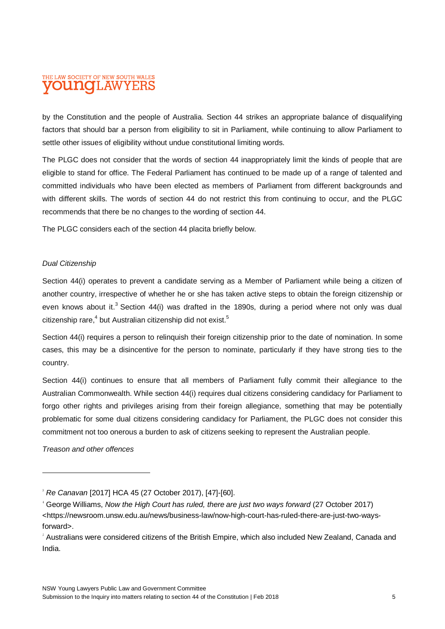#### THE LAW SOCIETY OF NEW SOUTH WALES ILAWYE oidhako

by the Constitution and the people of Australia. Section 44 strikes an appropriate balance of disqualifying factors that should bar a person from eligibility to sit in Parliament, while continuing to allow Parliament to settle other issues of eligibility without undue constitutional limiting words.

The PLGC does not consider that the words of section 44 inappropriately limit the kinds of people that are eligible to stand for office. The Federal Parliament has continued to be made up of a range of talented and committed individuals who have been elected as members of Parliament from different backgrounds and with different skills. The words of section 44 do not restrict this from continuing to occur, and the PLGC recommends that there be no changes to the wording of section 44.

The PLGC considers each of the section 44 placita briefly below.

#### *Dual Citizenship*

Section 44(i) operates to prevent a candidate serving as a Member of Parliament while being a citizen of another country, irrespective of whether he or she has taken active steps to obtain the foreign citizenship or even knows about it.<sup>3</sup> Section 44(i) was drafted in the 1890s, during a period where not only was dual citizenship rare, $^4$  but Australian citizenship did not exist. $^5$ 

Section 44(i) requires a person to relinquish their foreign citizenship prior to the date of nomination. In some cases, this may be a disincentive for the person to nominate, particularly if they have strong ties to the country.

Section 44(i) continues to ensure that all members of Parliament fully commit their allegiance to the Australian Commonwealth. While section 44(i) requires dual citizens considering candidacy for Parliament to forgo other rights and privileges arising from their foreign allegiance, something that may be potentially problematic for some dual citizens considering candidacy for Parliament, the PLGC does not consider this commitment not too onerous a burden to ask of citizens seeking to represent the Australian people.

*Treason and other offences*

<sup>3</sup> *Re Canavan* [2017] HCA 45 (27 October 2017), [47]-[60].

<sup>4</sup> George Williams, *Now the High Court has ruled, there are just two ways forward* (27 October 2017) <https://newsroom.unsw.edu.au/news/business-law/now-high-court-has-ruled-there-are-just-two-waysforward>.

<sup>&</sup>lt;sup>5</sup> Australians were considered citizens of the British Empire, which also included New Zealand, Canada and India.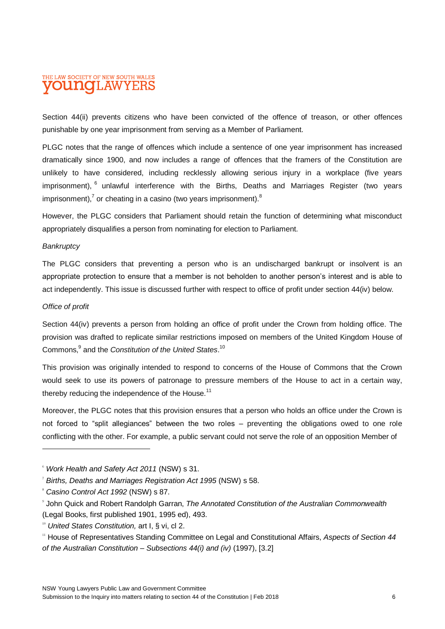### THE LAW SOCIETY OF NEW SOUTH WALES **OUINO I.AWYEI**

Section 44(ii) prevents citizens who have been convicted of the offence of treason, or other offences punishable by one year imprisonment from serving as a Member of Parliament.

PLGC notes that the range of offences which include a sentence of one year imprisonment has increased dramatically since 1900, and now includes a range of offences that the framers of the Constitution are unlikely to have considered, including recklessly allowing serious injury in a workplace (five years imprisonment), <sup>6</sup> unlawful interference with the Births, Deaths and Marriages Register (two years imprisonment),<sup>7</sup> or cheating in a casino (two years imprisonment).<sup>8</sup>

However, the PLGC considers that Parliament should retain the function of determining what misconduct appropriately disqualifies a person from nominating for election to Parliament.

#### *Bankruptcy*

The PLGC considers that preventing a person who is an undischarged bankrupt or insolvent is an appropriate protection to ensure that a member is not beholden to another person's interest and is able to act independently. This issue is discussed further with respect to office of profit under section 44(iv) below.

#### *Office of profit*

Section 44(iv) prevents a person from holding an office of profit under the Crown from holding office. The provision was drafted to replicate similar restrictions imposed on members of the United Kingdom House of Commons,<sup>9</sup> and the *Constitution of the United States*. 10

This provision was originally intended to respond to concerns of the House of Commons that the Crown would seek to use its powers of patronage to pressure members of the House to act in a certain way, thereby reducing the independence of the House. $11$ 

Moreover, the PLGC notes that this provision ensures that a person who holds an office under the Crown is not forced to "split allegiances" between the two roles – preventing the obligations owed to one role conflicting with the other. For example, a public servant could not serve the role of an opposition Member of

<sup>6</sup> *Work Health and Safety Act 2011* (NSW) s 31.

<sup>7</sup> *Births, Deaths and Marriages Registration Act 1995* (NSW) s 58.

<sup>8</sup> *Casino Control Act 1992* (NSW) s 87.

<sup>9</sup> John Quick and Robert Randolph Garran, *The Annotated Constitution of the Australian Commonwealth* (Legal Books, first published 1901, 1995 ed), 493.

<sup>10</sup> *United States Constitution,* art I, § vi, cl 2.

<sup>11</sup> House of Representatives Standing Committee on Legal and Constitutional Affairs, *Aspects of Section 44 of the Australian Constitution – Subsections 44(i) and (iv)* (1997), [3.2]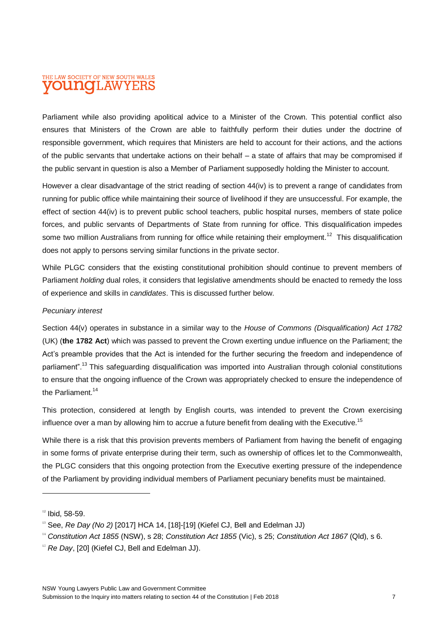### THE LAW SOCIETY OF NEW SOUTH WALES **OUNOI.AWYEF**

Parliament while also providing apolitical advice to a Minister of the Crown. This potential conflict also ensures that Ministers of the Crown are able to faithfully perform their duties under the doctrine of responsible government, which requires that Ministers are held to account for their actions, and the actions of the public servants that undertake actions on their behalf – a state of affairs that may be compromised if the public servant in question is also a Member of Parliament supposedly holding the Minister to account.

However a clear disadvantage of the strict reading of section 44(iv) is to prevent a range of candidates from running for public office while maintaining their source of livelihood if they are unsuccessful. For example, the effect of section 44(iv) is to prevent public school teachers, public hospital nurses, members of state police forces, and public servants of Departments of State from running for office. This disqualification impedes some two million Australians from running for office while retaining their employment.<sup>12</sup> This disqualification does not apply to persons serving similar functions in the private sector.

While PLGC considers that the existing constitutional prohibition should continue to prevent members of Parliament *holding* dual roles, it considers that legislative amendments should be enacted to remedy the loss of experience and skills in *candidates*. This is discussed further below.

#### *Pecuniary interest*

Section 44(v) operates in substance in a similar way to the *House of Commons (Disqualification) Act 1782* (UK) (**the 1782 Act**) which was passed to prevent the Crown exerting undue influence on the Parliament; the Act's preamble provides that the Act is intended for the further securing the freedom and independence of parliament".<sup>13</sup> This safeguarding disqualification was imported into Australian through colonial constitutions to ensure that the ongoing influence of the Crown was appropriately checked to ensure the independence of the Parliament.<sup>14</sup>

This protection, considered at length by English courts, was intended to prevent the Crown exercising influence over a man by allowing him to accrue a future benefit from dealing with the Executive.<sup>15</sup>

While there is a risk that this provision prevents members of Parliament from having the benefit of engaging in some forms of private enterprise during their term, such as ownership of offices let to the Commonwealth, the PLGC considers that this ongoing protection from the Executive exerting pressure of the independence of the Parliament by providing individual members of Parliament pecuniary benefits must be maintained.

 $\overline{a}$ 

 $12$  Ibid, 58-59.

<sup>&</sup>lt;sup>13</sup> See, *Re Day (No 2)* [2017] HCA 14, [18]-[19] (Kiefel CJ, Bell and Edelman JJ)

<sup>14</sup> *Constitution Act 1855* (NSW), s 28; *Constitution Act 1855* (Vic), s 25; *Constitution Act 1867* (Qld), s 6.

<sup>&</sup>lt;sup>15</sup> *Re Day*, [20] (Kiefel CJ, Bell and Edelman JJ).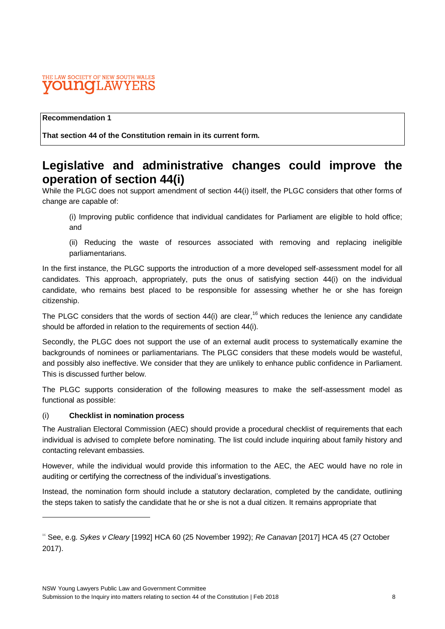#### THE LAW SOCIETY OF NEW SOUTH WALES 'LAW oistako

#### **Recommendation 1**

**That section 44 of the Constitution remain in its current form.**

# **Legislative and administrative changes could improve the operation of section 44(i)**

While the PLGC does not support amendment of section 44(i) itself, the PLGC considers that other forms of change are capable of:

(i) Improving public confidence that individual candidates for Parliament are eligible to hold office; and

(ii) Reducing the waste of resources associated with removing and replacing ineligible parliamentarians.

In the first instance, the PLGC supports the introduction of a more developed self-assessment model for all candidates. This approach, appropriately, puts the onus of satisfying section 44(i) on the individual candidate, who remains best placed to be responsible for assessing whether he or she has foreign citizenship.

The PLGC considers that the words of section  $44(i)$  are clear,<sup>16</sup> which reduces the lenience any candidate should be afforded in relation to the requirements of section 44(i).

Secondly, the PLGC does not support the use of an external audit process to systematically examine the backgrounds of nominees or parliamentarians. The PLGC considers that these models would be wasteful, and possibly also ineffective. We consider that they are unlikely to enhance public confidence in Parliament. This is discussed further below.

The PLGC supports consideration of the following measures to make the self-assessment model as functional as possible:

#### (i) **Checklist in nomination process**

The Australian Electoral Commission (AEC) should provide a procedural checklist of requirements that each individual is advised to complete before nominating. The list could include inquiring about family history and contacting relevant embassies.

However, while the individual would provide this information to the AEC, the AEC would have no role in auditing or certifying the correctness of the individual's investigations.

Instead, the nomination form should include a statutory declaration, completed by the candidate, outlining the steps taken to satisfy the candidate that he or she is not a dual citizen. It remains appropriate that

<sup>16</sup> See, e.g. *Sykes v Cleary* [1992] HCA 60 (25 November 1992); *Re Canavan* [2017] HCA 45 (27 October 2017).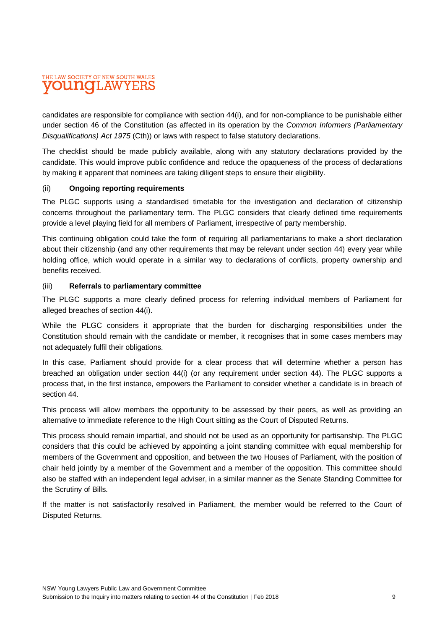# THE LAW SOCIETY OF NEW SOUTH WALES **OUNOLAWYEI**

candidates are responsible for compliance with section 44(i), and for non-compliance to be punishable either under section 46 of the Constitution (as affected in its operation by the *Common Informers (Parliamentary Disqualifications) Act 1975* (Cth)) or laws with respect to false statutory declarations.

The checklist should be made publicly available, along with any statutory declarations provided by the candidate. This would improve public confidence and reduce the opaqueness of the process of declarations by making it apparent that nominees are taking diligent steps to ensure their eligibility.

#### (ii) **Ongoing reporting requirements**

The PLGC supports using a standardised timetable for the investigation and declaration of citizenship concerns throughout the parliamentary term. The PLGC considers that clearly defined time requirements provide a level playing field for all members of Parliament, irrespective of party membership.

This continuing obligation could take the form of requiring all parliamentarians to make a short declaration about their citizenship (and any other requirements that may be relevant under section 44) every year while holding office, which would operate in a similar way to declarations of conflicts, property ownership and benefits received.

#### (iii) **Referrals to parliamentary committee**

The PLGC supports a more clearly defined process for referring individual members of Parliament for alleged breaches of section 44(i).

While the PLGC considers it appropriate that the burden for discharging responsibilities under the Constitution should remain with the candidate or member, it recognises that in some cases members may not adequately fulfil their obligations.

In this case, Parliament should provide for a clear process that will determine whether a person has breached an obligation under section 44(i) (or any requirement under section 44). The PLGC supports a process that, in the first instance, empowers the Parliament to consider whether a candidate is in breach of section 44.

This process will allow members the opportunity to be assessed by their peers, as well as providing an alternative to immediate reference to the High Court sitting as the Court of Disputed Returns.

This process should remain impartial, and should not be used as an opportunity for partisanship. The PLGC considers that this could be achieved by appointing a joint standing committee with equal membership for members of the Government and opposition, and between the two Houses of Parliament, with the position of chair held jointly by a member of the Government and a member of the opposition. This committee should also be staffed with an independent legal adviser, in a similar manner as the Senate Standing Committee for the Scrutiny of Bills.

If the matter is not satisfactorily resolved in Parliament, the member would be referred to the Court of Disputed Returns.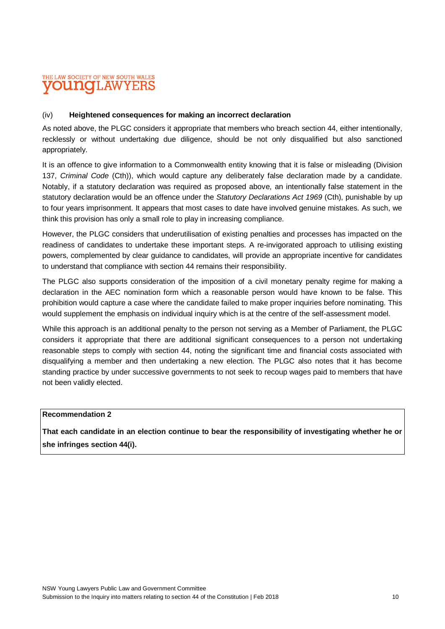### THE LAW SOCIETY OF NEW SOUTH WALES T.AW

#### (iv) **Heightened consequences for making an incorrect declaration**

As noted above, the PLGC considers it appropriate that members who breach section 44, either intentionally, recklessly or without undertaking due diligence, should be not only disqualified but also sanctioned appropriately.

It is an offence to give information to a Commonwealth entity knowing that it is false or misleading (Division 137, *Criminal Code* (Cth)), which would capture any deliberately false declaration made by a candidate. Notably, if a statutory declaration was required as proposed above, an intentionally false statement in the statutory declaration would be an offence under the *Statutory Declarations Act 1969* (Cth), punishable by up to four years imprisonment. It appears that most cases to date have involved genuine mistakes. As such, we think this provision has only a small role to play in increasing compliance.

However, the PLGC considers that underutilisation of existing penalties and processes has impacted on the readiness of candidates to undertake these important steps. A re-invigorated approach to utilising existing powers, complemented by clear guidance to candidates, will provide an appropriate incentive for candidates to understand that compliance with section 44 remains their responsibility.

The PLGC also supports consideration of the imposition of a civil monetary penalty regime for making a declaration in the AEC nomination form which a reasonable person would have known to be false. This prohibition would capture a case where the candidate failed to make proper inquiries before nominating. This would supplement the emphasis on individual inquiry which is at the centre of the self-assessment model.

While this approach is an additional penalty to the person not serving as a Member of Parliament, the PLGC considers it appropriate that there are additional significant consequences to a person not undertaking reasonable steps to comply with section 44, noting the significant time and financial costs associated with disqualifying a member and then undertaking a new election. The PLGC also notes that it has become standing practice by under successive governments to not seek to recoup wages paid to members that have not been validly elected.

#### **Recommendation 2**

**That each candidate in an election continue to bear the responsibility of investigating whether he or she infringes section 44(i).**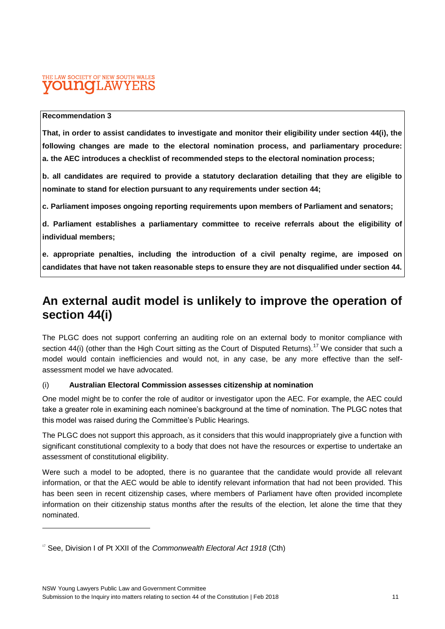### THE LAW SOCIETY OF NEW SOUTH WALES **T.AW**

#### **Recommendation 3**

**That, in order to assist candidates to investigate and monitor their eligibility under section 44(i), the following changes are made to the electoral nomination process, and parliamentary procedure: a. the AEC introduces a checklist of recommended steps to the electoral nomination process;**

**b. all candidates are required to provide a statutory declaration detailing that they are eligible to nominate to stand for election pursuant to any requirements under section 44;**

**c. Parliament imposes ongoing reporting requirements upon members of Parliament and senators;**

**d. Parliament establishes a parliamentary committee to receive referrals about the eligibility of individual members;**

**e. appropriate penalties, including the introduction of a civil penalty regime, are imposed on candidates that have not taken reasonable steps to ensure they are not disqualified under section 44.** 

# **An external audit model is unlikely to improve the operation of section 44(i)**

The PLGC does not support conferring an auditing role on an external body to monitor compliance with section 44(i) (other than the High Court sitting as the Court of Disputed Returns).<sup>17</sup> We consider that such a model would contain inefficiencies and would not, in any case, be any more effective than the selfassessment model we have advocated.

#### (i) **Australian Electoral Commission assesses citizenship at nomination**

One model might be to confer the role of auditor or investigator upon the AEC. For example, the AEC could take a greater role in examining each nominee's background at the time of nomination. The PLGC notes that this model was raised during the Committee's Public Hearings.

The PLGC does not support this approach, as it considers that this would inappropriately give a function with significant constitutional complexity to a body that does not have the resources or expertise to undertake an assessment of constitutional eligibility.

Were such a model to be adopted, there is no guarantee that the candidate would provide all relevant information, or that the AEC would be able to identify relevant information that had not been provided. This has been seen in recent citizenship cases, where members of Parliament have often provided incomplete information on their citizenship status months after the results of the election, let alone the time that they nominated.

<sup>&</sup>lt;sup>17</sup> See, Division I of Pt XXII of the *Commonwealth Electoral Act 1918* (Cth)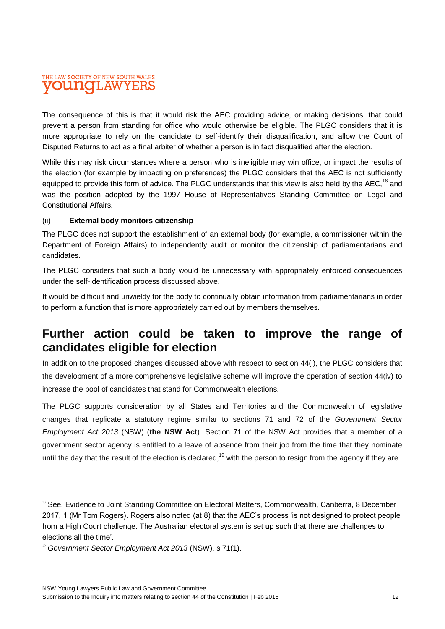# THE LAW SOCIETY OF NEW SOUTH WALES **OUNCILAWYEI**

The consequence of this is that it would risk the AEC providing advice, or making decisions, that could prevent a person from standing for office who would otherwise be eligible. The PLGC considers that it is more appropriate to rely on the candidate to self-identify their disqualification, and allow the Court of Disputed Returns to act as a final arbiter of whether a person is in fact disqualified after the election.

While this may risk circumstances where a person who is ineligible may win office, or impact the results of the election (for example by impacting on preferences) the PLGC considers that the AEC is not sufficiently equipped to provide this form of advice. The PLGC understands that this view is also held by the AEC,<sup>18</sup> and was the position adopted by the 1997 House of Representatives Standing Committee on Legal and Constitutional Affairs.

#### (ii) **External body monitors citizenship**

The PLGC does not support the establishment of an external body (for example, a commissioner within the Department of Foreign Affairs) to independently audit or monitor the citizenship of parliamentarians and candidates.

The PLGC considers that such a body would be unnecessary with appropriately enforced consequences under the self-identification process discussed above.

It would be difficult and unwieldy for the body to continually obtain information from parliamentarians in order to perform a function that is more appropriately carried out by members themselves.

# **Further action could be taken to improve the range of candidates eligible for election**

In addition to the proposed changes discussed above with respect to section 44(i), the PLGC considers that the development of a more comprehensive legislative scheme will improve the operation of section 44(iv) to increase the pool of candidates that stand for Commonwealth elections.

The PLGC supports consideration by all States and Territories and the Commonwealth of legislative changes that replicate a statutory regime similar to sections 71 and 72 of the *Government Sector Employment Act 2013* (NSW) (**the NSW Act**). Section 71 of the NSW Act provides that a member of a government sector agency is entitled to a leave of absence from their job from the time that they nominate until the day that the result of the election is declared,<sup>19</sup> with the person to resign from the agency if they are

<sup>&</sup>lt;sup>18</sup> See, Evidence to Joint Standing Committee on Electoral Matters, Commonwealth, Canberra, 8 December 2017, 1 (Mr Tom Rogers). Rogers also noted (at 8) that the AEC's process 'is not designed to protect people from a High Court challenge. The Australian electoral system is set up such that there are challenges to elections all the time'.

<sup>&</sup>lt;sup>19</sup> Government Sector Employment Act 2013 (NSW), s 71(1).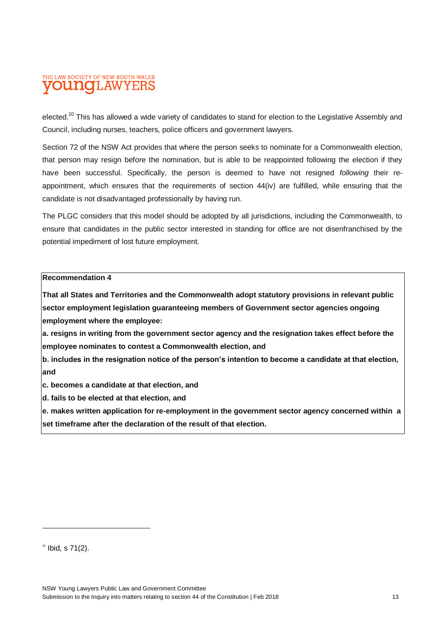### THE LAW SOCIETY OF NEW SOUTH WALES **OUNCI.AWYEI**

elected.<sup>20</sup> This has allowed a wide variety of candidates to stand for election to the Legislative Assembly and Council, including nurses, teachers, police officers and government lawyers.

Section 72 of the NSW Act provides that where the person seeks to nominate for a Commonwealth election, that person may resign before the nomination, but is able to be reappointed following the election if they have been successful. Specifically, the person is deemed to have not resigned *following* their reappointment, which ensures that the requirements of section 44(iv) are fulfilled, while ensuring that the candidate is not disadvantaged professionally by having run.

The PLGC considers that this model should be adopted by all jurisdictions, including the Commonwealth, to ensure that candidates in the public sector interested in standing for office are not disenfranchised by the potential impediment of lost future employment.

#### **Recommendation 4**

**That all States and Territories and the Commonwealth adopt statutory provisions in relevant public sector employment legislation guaranteeing members of Government sector agencies ongoing employment where the employee:**

**a. resigns in writing from the government sector agency and the resignation takes effect before the employee nominates to contest a Commonwealth election, and**

**b. includes in the resignation notice of the person's intention to become a candidate at that election, and**

**c. becomes a candidate at that election, and**

**d. fails to be elected at that election, and**

**e. makes written application for re-employment in the government sector agency concerned within a set timeframe after the declaration of the result of that election.**

 $20$  Ibid, s 71(2).